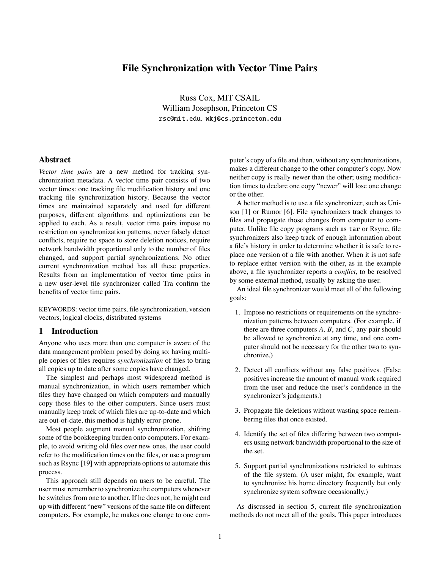# **File Synchronization with Vector Time Pairs**

Russ Cox, MIT CSAIL William Josephson, Princeton CS rsc@mit.edu*,* wkj@cs.princeton.edu

### **Abstract**

*Vector time pairs* are a new method for tracking synchronization metadata. A vector time pair consists of two vector times: one tracking file modification history and one tracking file synchronization history. Because the vector times are maintained separately and used for different purposes, different algorithms and optimizations can be applied to each. As a result, vector time pairs impose no restriction on synchronization patterns, never falsely detect conflicts, require no space to store deletion notices, require network bandwidth proportional only to the number of files changed, and support partial synchronizations. No other current synchronization method has all these properties. Results from an implementation of vector time pairs in a new user-level file synchronizer called Tra confirm the benefits of vector time pairs.

KEYWORDS: vector time pairs, file synchronization, version vectors, logical clocks, distributed systems

## **1 Introduction**

Anyone who uses more than one computer is aware of the data management problem posed by doing so: having multiple copies of files requires *synchronization* of files to bring all copies up to date after some copies have changed.

The simplest and perhaps most widespread method is manual synchronization, in which users remember which files they have changed on which computers and manually copy those files to the other computers. Since users must manually keep track of which files are up-to-date and which are out-of-date, this method is highly error-prone.

Most people augment manual synchronization, shifting some of the bookkeeping burden onto computers. For example, to avoid writing old files over new ones, the user could refer to the modification times on the files, or use a program such as Rsync [19] with appropriate options to automate this process.

This approach still depends on users to be careful. The user must remember to synchronize the computers whenever he switches from one to another. If he does not, he might end up with different "new" versions of the same file on different computers. For example, he makes one change to one computer's copy of a file and then, without any synchronizations, makes a different change to the other computer's copy. Now neither copy is really newer than the other; using modification times to declare one copy "newer" will lose one change or the other.

A better method is to use a file synchronizer, such as Unison [1] or Rumor [6]. File synchronizers track changes to files and propagate those changes from computer to computer. Unlike file copy programs such as tar or Rsync, file synchronizers also keep track of enough information about a file's history in order to determine whether it is safe to replace one version of a file with another. When it is not safe to replace either version with the other, as in the example above, a file synchronizer reports a *conflict*, to be resolved by some external method, usually by asking the user.

An ideal file synchronizer would meet all of the following goals:

- 1. Impose no restrictions or requirements on the synchronization patterns between computers. (For example, if there are three computers *A*, *B*, and *C*, any pair should be allowed to synchronize at any time, and one computer should not be necessary for the other two to synchronize.)
- 2. Detect all conflicts without any false positives. (False positives increase the amount of manual work required from the user and reduce the user's confidence in the synchronizer's judgments.)
- 3. Propagate file deletions without wasting space remembering files that once existed.
- 4. Identify the set of files differing between two computers using network bandwidth proportional to the size of the set.
- 5. Support partial synchronizations restricted to subtrees of the file system. (A user might, for example, want to synchronize his home directory frequently but only synchronize system software occasionally.)

As discussed in section 5, current file synchronization methods do not meet all of the goals. This paper introduces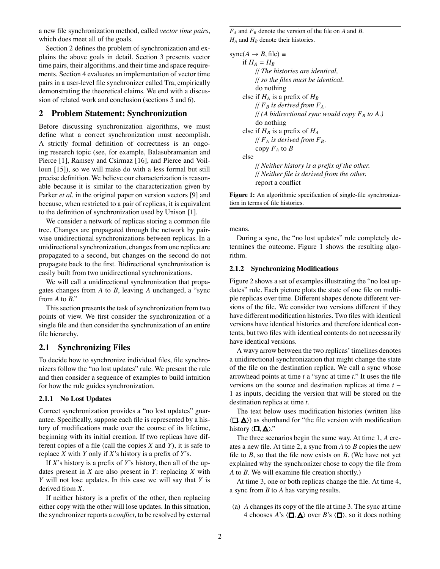a new file synchronization method, called *vector time pairs*, which does meet all of the goals.

Section 2 defines the problem of synchronization and explains the above goals in detail. Section 3 presents vector time pairs, their algorithms, and their time and space requirements. Section 4 evaluates an implementation of vector time pairs in a user-level file synchronizer called Tra, empirically demonstrating the theoretical claims. We end with a discussion of related work and conclusion (sections 5 and 6).

#### **2 Problem Statement: Synchronization**

Before discussing synchronization algorithms, we must define what a correct synchronization must accomplish. A strictly formal definition of correctness is an ongoing research topic (see, for example, Balasubramanian and Pierce [1], Ramsey and Csirmaz [16], and Pierce and Voilloun [15]), so we will make do with a less formal but still precise definition. We believe our characterization is reasonable because it is similar to the characterization given by Parker *et al*. in the original paper on version vectors [9] and because, when restricted to a pair of replicas, it is equivalent to the definition of synchronization used by Unison [1].

We consider a network of replicas storing a common file tree. Changes are propagated through the network by pairwise unidirectional synchronizations between replicas. In a unidirectional synchronization, changes from one replica are propagated to a second, but changes on the second do not propagate back to the first. Bidirectional synchronization is easily built from two unidirectional synchronizations.

We will call a unidirectional synchronization that propagates changes from *A* to *B*, leaving *A* unchanged, a "sync from *A* to *B*."

This section presents the task of synchronization from two points of view. We first consider the synchronization of a single file and then consider the synchronization of an entire file hierarchy.

## **2.1 Synchronizing Files**

To decide how to synchronize individual files, file synchronizers follow the "no lost updates" rule. We present the rule and then consider a sequence of examples to build intuition for how the rule guides synchronization.

## **2.1.1 No Lost Updates**

Correct synchronization provides a "no lost updates" guarantee. Specifically, suppose each file is represented by a history of modifications made over the course of its lifetime, beginning with its initial creation. If two replicas have different copies of a file (call the copies *X* and *Y*), it is safe to replace *X* with *Y* only if *X*'s history is a prefix of *Y*'s.

If *X*'s history is a prefix of *Y*'s history, then all of the updates present in *X* are also present in *Y*: replacing *X* with *Y* will not lose updates. In this case we will say that *Y* is derived from *X*.

If neither history is a prefix of the other, then replacing either copy with the other will lose updates. In this situation, the synchronizer reports a *conflict*, to be resolved by external  $F_A$  and  $F_B$  denote the version of the file on *A* and *B*.  $H_A$  and  $H_B$  denote their histories.

```
sync(A \rightarrow B, file) \equivif H_A = H_B// The histories are identical,
     // so the files must be identical.
     do nothing
else if H_A is a prefix of H_B// F_B is derived from F_A.
     \frac{1}{4} (A bidirectional sync would copy F_B to A.)
     do nothing
else if H_B is a prefix of H_A\frac{1}{f} F_A is derived from F<sub>B</sub>.
     copy F_A to Belse
     // Neither history is a prefix of the other.
     // Neither file is derived from the other.
     report a conflict
```
Figure 1: An algorithmic specification of single-file synchronization in terms of file histories.

means.

During a sync, the "no lost updates" rule completely determines the outcome. Figure 1 shows the resulting algorithm.

#### **2.1.2 Synchronizing Modifications**

Figure 2 shows a set of examples illustrating the "no lost updates" rule. Each picture plots the state of one file on multiple replicas over time. Different shapes denote different versions of the file. We consider two versions different if they have different modification histories. Two files with identical versions have identical histories and therefore identical contents, but two files with identical contents do not necessarily have identical versions.

A wavy arrow between the two replicas' timelines denotes a unidirectional synchronization that might change the state of the file on the destination replica. We call a sync whose arrowhead points at time *t* a "sync at time *t*." It uses the file versions on the source and destination replicas at time *t* − 1 as inputs, deciding the version that will be stored on the destination replica at time *t*.

The text below uses modification histories (written like  $\langle \Box, \Delta \rangle$  as shorthand for "the file version with modification" history  $\langle \Box, \Delta \rangle$ ."

The three scenarios begin the same way. At time 1, *A* creates a new file. At time 2, a sync from *A* to *B* copies the new file to *B*, so that the file now exists on *B*. (We have not yet explained why the synchronizer chose to copy the file from *A* to *B*. We will examine file creation shortly.)

At time 3, one or both replicas change the file. At time 4, a sync from *B* to *A* has varying results.

(a) *A* changes its copy of the file at time 3. The sync at time 4 chooses *A*'s  $\langle \square, \triangle \rangle$  over *B*'s  $\langle \square \rangle$ , so it does nothing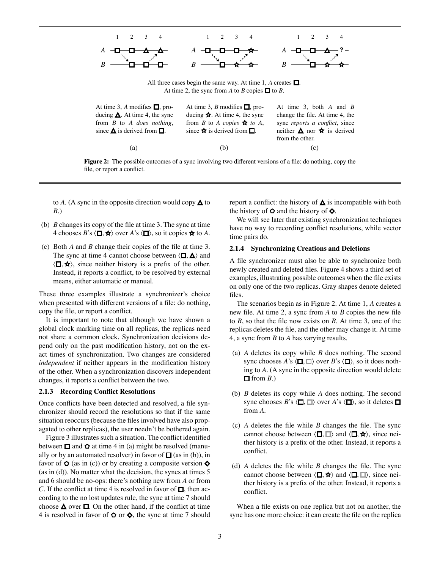

**Figure 2:** The possible outcomes of a sync involving two different versions of a file: do nothing, copy the file, or report a conflict.

(a)  $(b)$  (c)

to A. (A sync in the opposite direction would copy  $\triangle$  to *B*.)

- (b) *B* changes its copy of the file at time 3. The sync at time 4 chooses *B*'s  $\langle \Box, \bigstar \rangle$  over *A*'s  $\langle \Box \rangle$ , so it copies  $\bigstar \to \infty$  *A*.
- (c) Both *A* and *B* change their copies of the file at time 3. The sync at time 4 cannot choose between  $\langle \Box, \triangle \rangle$  and  $\langle \Box, \bigstar \rangle$ , since neither history is a prefix of the other. Instead, it reports a conflict, to be resolved by external means, either automatic or manual.

These three examples illustrate a synchronizer's choice when presented with different versions of a file: do nothing, copy the file, or report a conflict.

It is important to note that although we have shown a global clock marking time on all replicas, the replicas need not share a common clock. Synchronization decisions depend only on the past modification history, not on the exact times of synchronization. Two changes are considered *independent* if neither appears in the modification history of the other. When a synchronization discovers independent changes, it reports a conflict between the two.

#### **2.1.3 Recording Conflict Resolutions**

Once conflicts have been detected and resolved, a file synchronizer should record the resolutions so that if the same situation reoccurs (because the files involved have also propagated to other replicas), the user needn't be bothered again.

Figure 3 illustrates such a situation. The conflict identified between  $\Box$  and  $\Diamond$  at time 4 in (a) might be resolved (manually or by an automated resolver) in favor of  $\Box$  (as in (b)), in favor of  $\Omega$  (as in (c)) or by creating a composite version  $\lozenge$ (as in (d)). No matter what the decision, the syncs at times 5 and 6 should be no-ops: there's nothing new from *A* or from *C*. If the conflict at time 4 is resolved in favor of  $\Box$ , then according to the no lost updates rule, the sync at time 7 should choose  $\triangle$  over  $\square$ . On the other hand, if the conflict at time 4 is resolved in favor of  $\Omega$  or  $\diamondsuit$ , the sync at time 7 should report a conflict: the history of  $\Delta$  is incompatible with both the history of  $\Omega$  and the history of  $\lozenge$ .

We will see later that existing synchronization techniques have no way to recording conflict resolutions, while vector time pairs do.

#### **2.1.4 Synchronizing Creations and Deletions**

A file synchronizer must also be able to synchronize both newly created and deleted files. Figure 4 shows a third set of examples, illustrating possible outcomes when the file exists on only one of the two replicas. Gray shapes denote deleted files.

The scenarios begin as in Figure 2. At time 1, *A* creates a new file. At time 2, a sync from *A* to *B* copies the new file to *B*, so that the file now exists on *B*. At time 3, one of the replicas deletes the file, and the other may change it. At time 4, a sync from *B* to *A* has varying results.

- (a) *A* deletes its copy while *B* does nothing. The second sync chooses *A*'s  $\langle \square, \square \rangle$  over *B*'s  $\langle \square \rangle$ , so it does nothing to *A*. (A sync in the opposite direction would delete  $\Box$  from *B*.)
- (b) *B* deletes its copy while *A* does nothing. The second sync chooses *B*'s  $\langle \Box, \Box \rangle$  over *A*'s  $\langle \Box \rangle$ , so it deletes  $\Box$ from *A*.
- (c) *A* deletes the file while *B* changes the file. The sync cannot choose between  $\langle \Box, \Box \rangle$  and  $\langle \Box, \bigstar \rangle$ , since neither history is a prefix of the other. Instead, it reports a conflict.
- (d) *A* deletes the file while *B* changes the file. The sync cannot choose between  $\langle \Box, \blacktriangle \rangle$  and  $\langle \Box, \Box \rangle$ , since neither history is a prefix of the other. Instead, it reports a conflict.

When a file exists on one replica but not on another, the sync has one more choice: it can create the file on the replica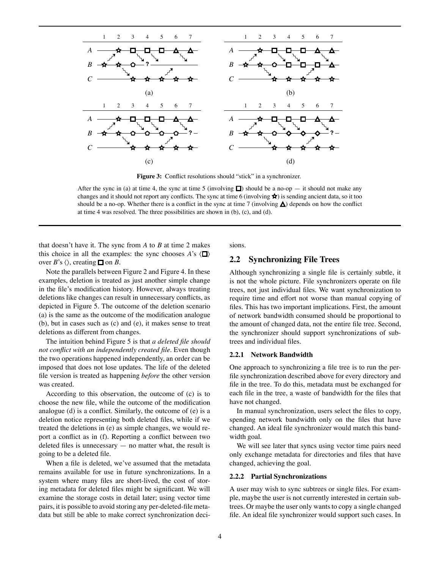

**Figure 3:** Conflict resolutions should "stick" in a synchronizer.

After the sync in (a) at time 4, the sync at time 5 (involving  $\Box$ ) should be a no-op — it should not make any changes and it should not report any conflicts. The sync at time 6 (involving  $\star$ ) is sending ancient data, so it too should be a no-op. Whether there is a conflict in the sync at time 7 (involving  $\triangle$ ) depends on how the conflict at time 4 was resolved. The three possibilities are shown in (b), (c), and (d).

that doesn't have it. The sync from *A* to *B* at time 2 makes this choice in all the examples: the sync chooses  $\vec{A}$ 's  $\langle \blacksquare \rangle$ over  $B$ 's  $\langle \rangle$ , creating  $\Box$  on *B*.

Note the parallels between Figure 2 and Figure 4. In these examples, deletion is treated as just another simple change in the file's modification history. However, always treating deletions like changes can result in unnecessary conflicts, as depicted in Figure 5. The outcome of the deletion scenario (a) is the same as the outcome of the modification analogue (b), but in cases such as (c) and (e), it makes sense to treat deletions as different from changes.

The intuition behind Figure 5 is that *a deleted file should not conflict with an independently created file*. Even though the two operations happened independently, an order can be imposed that does not lose updates. The life of the deleted file version is treated as happening *before* the other version was created.

According to this observation, the outcome of (c) is to choose the new file, while the outcome of the modification analogue (d) is a conflict. Similarly, the outcome of (e) is a deletion notice representing both deleted files, while if we treated the deletions in (e) as simple changes, we would report a conflict as in (f). Reporting a conflict between two deleted files is unnecessary — no matter what, the result is going to be a deleted file.

When a file is deleted, we've assumed that the metadata remains available for use in future synchronizations. In a system where many files are short-lived, the cost of storing metadata for deleted files might be significant. We will examine the storage costs in detail later; using vector time pairs, it is possible to avoid storing any per-deleted-file metadata but still be able to make correct synchronization decisions.

## **2.2 Synchronizing File Trees**

Although synchronizing a single file is certainly subtle, it is not the whole picture. File synchronizers operate on file trees, not just individual files. We want synchronization to require time and effort not worse than manual copying of files. This has two important implications. First, the amount of network bandwidth consumed should be proportional to the amount of changed data, not the entire file tree. Second, the synchronizer should support synchronizations of subtrees and individual files.

#### **2.2.1 Network Bandwidth**

One approach to synchronizing a file tree is to run the perfile synchronization described above for every directory and file in the tree. To do this, metadata must be exchanged for each file in the tree, a waste of bandwidth for the files that have not changed.

In manual synchronization, users select the files to copy, spending network bandwidth only on the files that have changed. An ideal file synchronizer would match this bandwidth goal.

We will see later that syncs using vector time pairs need only exchange metadata for directories and files that have changed, achieving the goal.

#### **2.2.2 Partial Synchronizations**

A user may wish to sync subtrees or single files. For example, maybe the user is not currently interested in certain subtrees. Or maybe the user only wants to copy a single changed file. An ideal file synchronizer would support such cases. In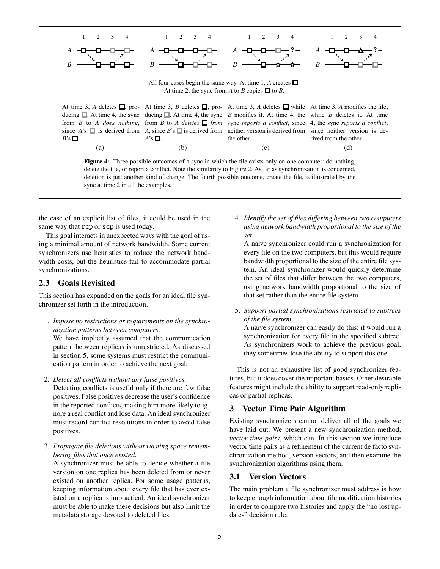

**Figure 4:** Three possible outcomes of a sync in which the file exists only on one computer: do nothing, delete the file, or report a conflict. Note the similarity to Figure 2. As far as synchronization is concerned, deletion is just another kind of change. The fourth possible outcome, create the file, is illustrated by the sync at time 2 in all the examples.

the case of an explicit list of files, it could be used in the same way that rcp or scp is used today.

This goal interacts in unexpected ways with the goal of using a minimal amount of network bandwidth. Some current synchronizers use heuristics to reduce the network bandwidth costs, but the heuristics fail to accommodate partial synchronizations.

### **2.3 Goals Revisited**

This section has expanded on the goals for an ideal file synchronizer set forth in the introduction.

- 1. *Impose no restrictions or requirements on the synchronization patterns between computers.* We have implicitly assumed that the communication pattern between replicas is unrestricted. As discussed in section 5, some systems must restrict the communication pattern in order to achieve the next goal.
- 2. *Detect all conflicts without any false positives.*

Detecting conflicts is useful only if there are few false positives. False positives decrease the user's confidence in the reported conflicts, making him more likely to ignore a real conflict and lose data. An ideal synchronizer must record conflict resolutions in order to avoid false positives.

3. *Propagate file deletions without wasting space remembering files that once existed.*

A synchronizer must be able to decide whether a file version on one replica has been deleted from or never existed on another replica. For some usage patterns, keeping information about every file that has ever existed on a replica is impractical. An ideal synchronizer must be able to make these decisions but also limit the metadata storage devoted to deleted files.

4. *Identify the set of files di*ff*ering between two computers using network bandwidth proportional to the size of the set.*

A naive synchronizer could run a synchronization for every file on the two computers, but this would require bandwidth proportional to the size of the entire file system. An ideal synchronizer would quickly determine the set of files that differ between the two computers, using network bandwidth proportional to the size of that set rather than the entire file system.

5. *Support partial synchronizations restricted to subtrees of the file system.*

A naive synchronizer can easily do this: it would run a synchronization for every file in the specified subtree. As synchronizers work to achieve the previous goal, they sometimes lose the ability to support this one.

This is not an exhaustive list of good synchronizer features, but it does cover the important basics. Other desirable features might include the ability to support read-only replicas or partial replicas.

## **3 Vector Time Pair Algorithm**

Existing synchronizers cannot deliver all of the goals we have laid out. We present a new synchronization method, *vector time pairs*, which can. In this section we introduce vector time pairs as a refinement of the current de facto synchronization method, version vectors, and then examine the synchronization algorithms using them.

## **3.1 Version Vectors**

The main problem a file synchronizer must address is how to keep enough information about file modification histories in order to compare two histories and apply the "no lost updates" decision rule.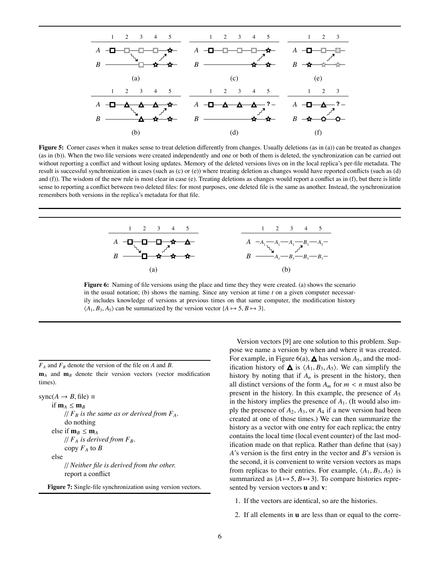

**Figure 5:** Corner cases when it makes sense to treat deletion differently from changes. Usually deletions (as in (a)) can be treated as changes (as in (b)). When the two file versions were created independently and one or both of them is deleted, the synchronization can be carried out without reporting a conflict and without losing updates. Memory of the deleted versions lives on in the local replica's per-file metadata. The result is successful synchronization in cases (such as (c) or (e)) where treating deletion as changes would have reported conflicts (such as (d) and  $(f)$ ). The wisdom of the new rule is most clear in case (e). Treating deletions as changes would report a conflict as in  $(f)$ , but there is little sense to reporting a conflict between two deleted files: for most purposes, one deleted file is the same as another. Instead, the synchronization remembers both versions in the replica's metadata for that file.



**Figure 6:** Naming of file versions using the place and time they they were created. (a) shows the scenario in the usual notation; (b) shows the naming. Since any version at time  $t$  on a given computer necessarily includes knowledge of versions at previous times on that same computer, the modification history  $\langle A_1, B_3, A_5 \rangle$  can be summarized by the version vector  $\{A \mapsto 5, B \mapsto 3\}.$ 

 $F_A$  and  $F_B$  denote the version of the file on *A* and *B*. **m***<sup>A</sup>* and **m***<sup>B</sup>* denote their version vectors (vector modification times).

 $sync(A \rightarrow B, file) \equiv$ if  $m_A \le m_B$  $//$   $F_B$  *is the same as or derived from*  $F_A$ . do nothing else if  $\mathbf{m}_B \leq \mathbf{m}_A$  $//$   $F_A$  *is derived from*  $F_B$ . copy  $F_A$  to  $B$ else // *Neither file is derived from the other.* report a conflict

**Figure 7:** Single-file synchronization using version vectors.

Version vectors [9] are one solution to this problem. Suppose we name a version by when and where it was created. For example, in Figure 6(a),  $\triangle$  has version  $A_5$ , and the modification history of  $\triangle$  is  $\langle A_1, B_3, A_5 \rangle$ . We can simplify the history by noting that if  $A_n$  is present in the history, then all distinct versions of the form  $A_m$  for  $m < n$  must also be present in the history. In this example, the presence of *A*<sup>5</sup> in the history implies the presence of *A*1. (It would also imply the presence of *A*2, *A*3, or *A*<sup>4</sup> if a new version had been created at one of those times.) We can then summarize the history as a vector with one entry for each replica; the entry contains the local time (local event counter) of the last modification made on that replica. Rather than define that (say) *A*'s version is the first entry in the vector and *B*'s version is the second, it is convenient to write version vectors as maps from replicas to their entries. For example,  $\langle A_1, B_3, A_5 \rangle$  is summarized as  ${A \mapsto 5, B \mapsto 3}$ . To compare histories represented by version vectors **u** and **v**:

- 1. If the vectors are identical, so are the histories.
- 2. If all elements in **u** are less than or equal to the corre-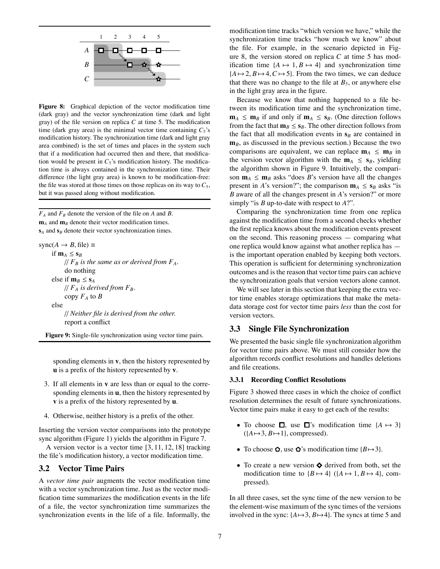

**Figure 8:** Graphical depiction of the vector modification time (dark gray) and the vector synchronization time (dark and light gray) of the file version on replica *C* at time 5. The modification time (dark gray area) is the minimal vector time containing  $C_5$ 's modification history. The synchronization time (dark and light gray area combined) is the set of times and places in the system such that if a modification had occurred then and there, that modification would be present in  $C_5$ 's modification history. The modification time is always contained in the synchronization time. Their difference (the light gray area) is known to be modification-free: the file was stored at those times on those replicas on its way to  $C_5$ , but it was passed along without modification.

 $F_A$  and  $F_B$  denote the version of the file on *A* and *B*. **m**<sub>*A*</sub> and **m**<sub>*B*</sub> denote their vector modification times.  $s_A$  and  $s_B$  denote their vector synchronization times.

 $sync(A \rightarrow B, file) \equiv$ if  $\mathbf{m}_A \leq \mathbf{s}_B$  $\frac{1}{F_B}$  *is the same as or derived from*  $F_A$ . do nothing else if  $\mathbf{m}_B \leq \mathbf{s}_A$  $// F_A$  *is derived from*  $F_B$ . copy  $F_A$  to  $B$ else // *Neither file is derived from the other.* report a conflict **Figure 9:** Single-file synchronization using vector time pairs.

sponding elements in **v**, then the history represented by **u** is a prefix of the history represented by **v**.

- 3. If all elements in **v** are less than or equal to the corresponding elements in **u**, then the history represented by **v** is a prefix of the history represented by **u**.
- 4. Otherwise, neither history is a prefix of the other.

Inserting the version vector comparisons into the prototype sync algorithm (Figure 1) yields the algorithm in Figure 7.

A version vector is a vector time [3, 11, 12, 18] tracking the file's modification history, a vector modification time.

### **3.2 Vector Time Pairs**

A *vector time pair* augments the vector modification time with a vector synchronization time. Just as the vector modification time summarizes the modification events in the life of a file, the vector synchronization time summarizes the synchronization events in the life of a file. Informally, the

modification time tracks "which version we have," while the synchronization time tracks "how much we know" about the file. For example, in the scenario depicted in Figure 8, the version stored on replica *C* at time 5 has modification time  $\{A \mapsto 1, B \mapsto 4\}$  and synchronization time  ${A \mapsto 2, B \mapsto 4, C \mapsto 5}$ . From the two times, we can deduce that there was no change to the file at  $B_3$ , or anywhere else in the light gray area in the figure.

Because we know that nothing happened to a file between its modification time and the synchronization time,  $\mathbf{m}_A \leq \mathbf{m}_B$  if and only if  $\mathbf{m}_A \leq \mathbf{s}_B$ . (One direction follows from the fact that  $\mathbf{m}_B \leq \mathbf{s}_B$ . The other direction follows from the fact that all modification events in  $s_B$  are contained in  $\mathbf{m}_B$ , as discussed in the previous section.) Because the two comparisons are equivalent, we can replace  $\mathbf{m}_A \leq \mathbf{m}_B$  in the version vector algorithm with the  $m_A \leq s_B$ , yielding the algorithm shown in Figure 9. Intuitively, the comparison  $\mathbf{m}_A \leq \mathbf{m}_B$  asks "does *B*'s version have all the changes present in *A*'s version?"; the comparison  $m_A \le s_B$  asks "is *B* aware of all the changes present in *A*'s version?" or more simply "is *B* up-to-date with respect to *A*?".

Comparing the synchronization time from one replica against the modification time from a second checks whether the first replica knows about the modification events present on the second. This reasoning process — comparing what one replica would know against what another replica has is the important operation enabled by keeping both vectors. This operation is sufficient for determining synchronization outcomes and is the reason that vector time pairs can achieve the synchronization goals that version vectors alone cannot.

We will see later in this section that keeping the extra vector time enables storage optimizations that make the metadata storage cost for vector time pairs *less* than the cost for version vectors.

## **3.3 Single File Synchronization**

We presented the basic single file synchronization algorithm for vector time pairs above. We must still consider how the algorithm records conflict resolutions and handles deletions and file creations.

#### **3.3.1 Recording Conflict Resolutions**

Figure 3 showed three cases in which the choice of conflict resolution determines the result of future synchronizations. Vector time pairs make it easy to get each of the results:

- To choose  $\Box$ , use  $\Box$ 's modification time  $\{A \mapsto 3\}$  $({A \mapsto 3, B \mapsto 1},$  compressed).
- To choose  $\Omega$ , use  $\Omega$ 's modification time {*B* $\mapsto$ 3}.
- To create a new version  $\Diamond$  derived from both, set the modification time to  ${B \mapsto 4}$  ( ${A \mapsto 1, B \mapsto 4}$ , compressed).

In all three cases, set the sync time of the new version to be the element-wise maximum of the sync times of the versions involved in the sync:  ${A \mapsto 3, B \mapsto 4}$ . The syncs at time 5 and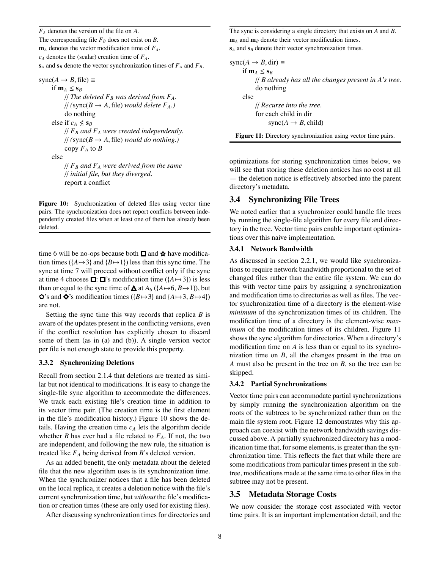*FA* denotes the version of the file on *A*. The corresponding file  $F_B$  does not exist on *B*.  **denotes the vector modification time of**  $F<sub>A</sub>$ **.**  $c_A$  denotes the (scalar) creation time of  $F_A$ .  $s_A$  and  $s_B$  denote the vector synchronization times of  $F_A$  and  $F_B$ .

 $sync(A \rightarrow B, file) \equiv$ if  $m_A \leq s_B$ // *The deleted*  $F_B$  was derived from  $F_A$ .  $\frac{1}{2}$  (sync( $B \rightarrow A$ , file) *would delete*  $F_A$ .) do nothing else if  $c_A \nleq s_B$  $\frac{1}{F}$  *F<sub>B</sub>* and  $F_A$  were created independently.  $\frac{1}{2}$  (sync( $B \rightarrow A$ , file) *would do nothing*.) copy  $F_A$  to  $B$ else  $\frac{1}{F_B}$  and  $F_A$  were derived from the same // *initial file, but they diverged.* report a conflict

**Figure 10:** Synchronization of deleted files using vector time pairs. The synchronization does not report conflicts between independently created files when at least one of them has already been deleted.

time 6 will be no-ops because both  $\Box$  and  $\star$  have modification times ( ${A \mapsto 3}$  and  ${B \mapsto 1}$ ) less than this sync time. The sync at time 7 will proceed without conflict only if the sync at time 4 chooses  $\Box$ :  $\Box$ 's modification time ({ $A \mapsto 3$ }) is less than or equal to the sync time of  $\triangle$  at  $A_6$  ({ $A \mapsto 6$ ,  $B \mapsto 1$ }), but  $\bullet$ 's and  $\bullet$ 's modification times ({*B* $\mapsto$ 3} and {*A* $\mapsto$ 3, *B* $\mapsto$ 4}) are not.

Setting the sync time this way records that replica *B* is aware of the updates present in the conflicting versions, even if the conflict resolution has explicitly chosen to discard some of them (as in (a) and (b)). A single version vector per file is not enough state to provide this property.

#### **3.3.2 Synchronizing Deletions**

Recall from section 2.1.4 that deletions are treated as similar but not identical to modifications. It is easy to change the single-file sync algorithm to accommodate the differences. We track each existing file's creation time in addition to its vector time pair. (The creation time is the first element in the file's modification history.) Figure 10 shows the details. Having the creation time  $c_A$  lets the algorithm decide whether *B* has ever had a file related to  $F_A$ . If not, the two are independent, and following the new rule, the situation is treated like *FA* being derived from *B*'s deleted version.

As an added benefit, the only metadata about the deleted file that the new algorithm uses is its synchronization time. When the synchronizer notices that a file has been deleted on the local replica, it creates a deletion notice with the file's current synchronization time, but *without* the file's modification or creation times (these are only used for existing files).

After discussing synchronization times for directories and

The sync is considering a single directory that exists on *A* and *B*.  $\mathbf{m}_A$  and  $\mathbf{m}_B$  denote their vector modification times.  $s_A$  and  $s_B$  denote their vector synchronization times.

```
sync(A \rightarrow B, dir) \equivif \mathbf{m}_A \leq \mathbf{s}_B// B already has all the changes present in A's tree.
      do nothing
else
      // Recurse into the tree.
      for each child in dir
           sync(A \rightarrow B, child)Figure 11: Directory synchronization using vector time pairs.
```
optimizations for storing synchronization times below, we will see that storing these deletion notices has no cost at all — the deletion notice is effectively absorbed into the parent directory's metadata.

## **3.4 Synchronizing File Trees**

We noted earlier that a synchronizer could handle file trees by running the single-file algorithm for every file and directory in the tree. Vector time pairs enable important optimizations over this naive implementation.

#### **3.4.1 Network Bandwidth**

As discussed in section 2.2.1, we would like synchronizations to require network bandwidth proportional to the set of changed files rather than the entire file system. We can do this with vector time pairs by assigning a synchronization and modification time to directories as well as files. The vector synchronization time of a directory is the element-wise *minimum* of the synchronization times of its children. The modification time of a directory is the element-wise *maximum* of the modification times of its children. Figure 11 shows the sync algorithm for directories. When a directory's modification time on *A* is less than or equal to its synchronization time on *B*, all the changes present in the tree on *A* must also be present in the tree on *B*, so the tree can be skipped.

#### **3.4.2 Partial Synchronizations**

Vector time pairs can accommodate partial synchronizations by simply running the synchronization algorithm on the roots of the subtrees to be synchronized rather than on the main file system root. Figure 12 demonstrates why this approach can coexist with the network bandwidth savings discussed above. A partially synchronized directory has a modification time that, for some elements, is greater than the synchronization time. This reflects the fact that while there are some modifications from particular times present in the subtree, modifications made at the same time to other files in the subtree may not be present.

## **3.5 Metadata Storage Costs**

We now consider the storage cost associated with vector time pairs. It is an important implementation detail, and the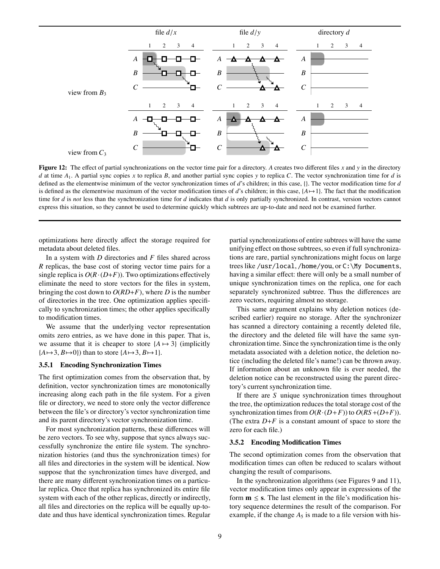

**Figure 12:** The effect of partial synchronizations on the vector time pair for a directory. *A* creates two different files *x* and *y* in the directory *d* at time *A*1. A partial sync copies *x* to replica *B*, and another partial sync copies *y* to replica *C*. The vector synchronization time for *d* is defined as the elementwise minimum of the vector synchronization times of *d*'s children; in this case, {}. The vector modification time for *d* is defined as the elementwise maximum of the vector modification times of *d*'s children; in this case,  $\{A \mapsto 1\}$ . The fact that the modification time for *d* is *not* less than the synchronization time for *d* indicates that *d* is only partially synchronized. In contrast, version vectors cannot express this situation, so they cannot be used to determine quickly which subtrees are up-to-date and need not be examined further.

optimizations here directly affect the storage required for metadata about deleted files.

In a system with *D* directories and *F* files shared across *R* replicas, the base cost of storing vector time pairs for a single replica is  $O(R \cdot (D+F))$ . Two optimizations effectively eliminate the need to store vectors for the files in system, bringing the cost down to  $O(RD+F)$ , where *D* is the number of directories in the tree. One optimization applies specifically to synchronization times; the other applies specifically to modification times.

We assume that the underlying vector representation omits zero entries, as we have done in this paper. That is, we assume that it is cheaper to store  ${A \mapsto 3}$  (implicitly  ${A \mapsto 3, B \mapsto 0}$  than to store  ${A \mapsto 3, B \mapsto 1}$ .

#### **3.5.1 Encoding Synchronization Times**

The first optimization comes from the observation that, by definition, vector synchronization times are monotonically increasing along each path in the file system. For a given file or directory, we need to store only the vector difference between the file's or directory's vector synchronization time and its parent directory's vector synchronization time.

For most synchronization patterns, these differences will be zero vectors. To see why, suppose that syncs always successfully synchronize the entire file system. The synchronization histories (and thus the synchronization times) for all files and directories in the system will be identical. Now suppose that the synchronization times have diverged, and there are many different synchronization times on a particular replica. Once that replica has synchronized its entire file system with each of the other replicas, directly or indirectly, all files and directories on the replica will be equally up-todate and thus have identical synchronization times. Regular

partial synchronizations of entire subtrees will have the same unifying effect on those subtrees, so even if full synchronizations are rare, partial synchronizations might focus on large trees like /usr/local, /home/you, or C:\My Documents, having a similar effect: there will only be a small number of unique synchronization times on the replica, one for each separately synchronized subtree. Thus the differences are zero vectors, requiring almost no storage.

This same argument explains why deletion notices (described earlier) require no storage. After the synchronizer has scanned a directory containing a recently deleted file, the directory and the deleted file will have the same synchronization time. Since the synchronization time is the only metadata associated with a deletion notice, the deletion notice (including the deleted file's name!) can be thrown away. If information about an unknown file is ever needed, the deletion notice can be reconstructed using the parent directory's current synchronization time.

If there are *S* unique synchronization times throughout the tree, the optimization reduces the total storage cost of the synchronization times from  $O(R \cdot (D+F))$  to  $O(RS + (D+F))$ . (The extra  $D+F$  is a constant amount of space to store the zero for each file.)

#### **3.5.2 Encoding Modification Times**

The second optimization comes from the observation that modification times can often be reduced to scalars without changing the result of comparisons.

In the synchronization algorithms (see Figures 9 and 11), vector modification times only appear in expressions of the form  $m \leq s$ . The last element in the file's modification history sequence determines the result of the comparison. For example, if the change  $A_5$  is made to a file version with his-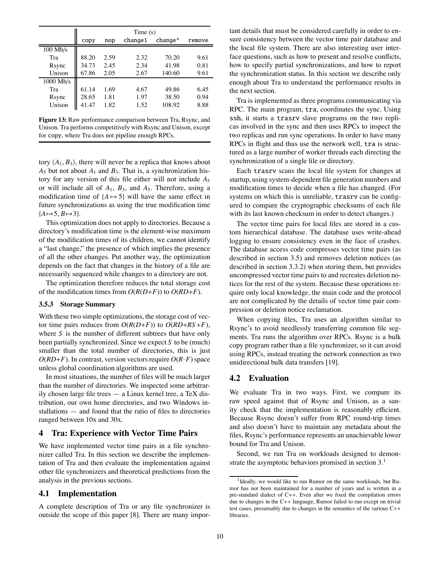|             | Time(s) |      |          |         |        |
|-------------|---------|------|----------|---------|--------|
|             | CODV    | nop  | change 1 | change* | remove |
| $100$ Mb/s  |         |      |          |         |        |
| Tra         | 88.20   | 2.59 | 2.32     | 70.20   | 9.61   |
| Rsync       | 34.73   | 2.45 | 2.34     | 41.98   | 0.81   |
| Unison      | 67.86   | 2.05 | 2.67     | 140.60  | 9.61   |
| $1000$ Mb/s |         |      |          |         |        |
| Tra         | 61.14   | 1.69 | 4.67     | 49.86   | 6.45   |
| Rsync       | 28.65   | 1.81 | 1.97     | 38.50   | 0.94   |
| Unison      | 41 47   | 1.82 | 1.52     | 108.92  | 8.88   |

**Figure 13:** Raw performance comparison between Tra, Rsync, and Unison. Tra performs competitively with Rsync and Unison, except for copy, where Tra does not pipeline enough RPCs.

tory  $\langle A_1, B_3 \rangle$ , there will never be a replica that knows about  $A_5$  but not about  $A_1$  and  $B_3$ . That is, a synchronization history for any version of this file either will not include *A*<sup>5</sup> or will include all of *A*1, *B*3, and *A*5. Therefore, using a modification time of  ${A \mapsto 5}$  will have the same effect in future synchronizations as using the true modification time  ${A \mapsto 5, B \mapsto 3}.$ 

This optimization does not apply to directories. Because a directory's modification time is the element-wise maximum of the modification times of its children, we cannot identify a "last change," the presence of which implies the presence of all the other changes. Put another way, the optimization depends on the fact that changes in the history of a file are necessarily sequenced while changes to a directory are not.

The optimization therefore reduces the total storage cost of the modification times from  $O(R(D+F))$  to  $O(RD+F)$ .

#### **3.5.3 Storage Summary**

With these two simple optimizations, the storage cost of vector time pairs reduces from  $O(R(D+F))$  to  $O(RD+RS+F)$ , where *S* is the number of different subtrees that have only been partially synchronized. Since we expect *S* to be (much) smaller than the total number of directories, this is just  $O(RD+F)$ . In contrast, version vectors require  $O(R \cdot F)$  space unless global coordination algorithms are used.

In most situations, the number of files will be much larger than the number of directories. We inspected some arbitrarily chosen large file trees — a Linux kernel tree, a TeX distribution, our own home directories, and two Windows installations — and found that the ratio of files to directories ranged between 10x and 30x.

#### **4 Tra: Experience with Vector Time Pairs**

We have implemented vector time pairs in a file synchronizer called Tra. In this section we describe the implementation of Tra and then evaluate the implementation against other file synchronizers and theoretical predictions from the analysis in the previous sections.

### **4.1 Implementation**

A complete description of Tra or any file synchronizer is outside the scope of this paper [8]. There are many important details that must be considered carefully in order to ensure consistency between the vector time pair database and the local file system. There are also interesting user interface questions, such as how to present and resolve conflicts, how to specify partial synchronizations, and how to report the synchronization status. In this section we describe only enough about Tra to understand the performance results in the next section.

Tra is implemented as three programs communicating via RPC. The main program, tra, coordinates the sync. Using ssh, it starts a trasrv slave programs on the two replicas involved in the sync and then uses RPCs to inspect the two replicas and run sync operations. In order to have many RPCs in flight and thus use the network well, tra is structured as a large number of worker threads each directing the synchronization of a single file or directory.

Each trasrv scans the local file system for changes at startup, using system-dependent file generation numbers and modification times to decide when a file has changed. (For systems on which this is unreliable, trasrv can be configured to compare the cryptographic checksums of each file with its last known checksum in order to detect changes.)

The vector time pairs for local files are stored in a custom hierarchical database. The database uses write-ahead logging to ensure consistency even in the face of crashes. The database access code compresses vector time pairs (as described in section 3.5) and removes deletion notices (as described in section 3.3.2) when storing them, but provides uncompressed vector time pairs to and recreates deletion notices for the rest of the system. Because these operations require only local knowledge, the main code and the protocol are not complicated by the details of vector time pair compression or deletion notice reclamation.

When copying files, Tra uses an algorithm similar to Rsync's to avoid needlessly transferring common file segments. Tra runs the algorithm over RPCs. Rsync is a bulk copy program rather than a file synchronizer, so it can avoid using RPCs, instead treating the network connection as two unidirectional bulk data transfers [19].

#### **4.2 Evaluation**

We evaluate Tra in two ways. First, we compare its raw speed against that of Rsync and Unison, as a sanity check that the implementation is reasonably efficient. Because Rsync doesn't suffer from RPC round-trip times and also doesn't have to maintain any metadata about the files, Rsync's performance represents an unachievable lower bound for Tra and Unison.

Second, we run Tra on workloads designed to demonstrate the asymptotic behaviors promised in section  $3<sup>1</sup>$ 

<sup>&</sup>lt;sup>1</sup>Ideally, we would like to run Rumor on the same workloads, but Rumor has not been maintained for a number of years and is written in a pre-standard dialect of C++. Even after we fixed the compilation errors due to changes in the C++ language, Rumor failed to run except on trivial test cases, presumably due to changes in the semantics of the various C++ libraries.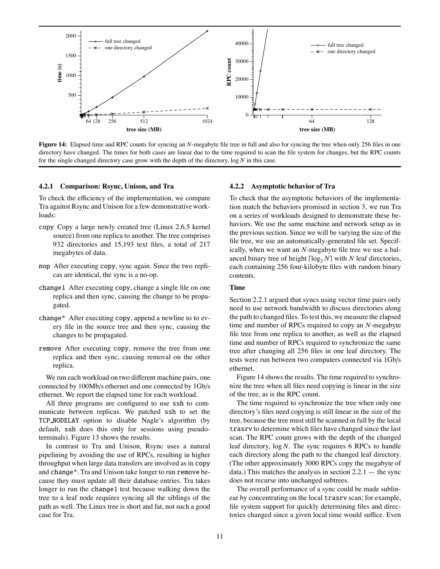

**Figure 14:** Elapsed time and RPC counts for syncing an *N*-megabyte file tree in full and also for syncing the tree when only 256 files in one directory have changed. The times for both cases are linear due to the time required to scan the file system for changes, but the RPC counts for the single changed directory case grow with the depth of the directory, log *N* in this case.

#### **4.2.1 Comparison: Rsync, Unison, and Tra**

To check the efficiency of the implementation, we compare Tra against Rsync and Unison for a few demonstrative workloads:

- copy Copy a large newly created tree (Linux 2.6.5 kernel source) from one replica to another. The tree comprises 932 directories and 15,193 text files, a total of 217 megabytes of data.
- nop After executing copy, sync again. Since the two replicas are identical, the sync is a no-op.
- change1 After executing copy, change a single file on one replica and then sync, causing the change to be propagated.
- change\* After executing copy, append a newline to to every file in the source tree and then sync, causing the changes to be propagated.
- remove After executing copy, remove the tree from one replica and then sync, causing removal on the other replica.

We run each workload on two different machine pairs, one connected by 100Mb/s ethernet and one connected by 1Gb/s ethernet. We report the elapsed time for each workload.

All three programs are configured to use ssh to communicate between replicas. We patched ssh to set the TCP NODELAY option to disable Nagle's algorithm (by default, ssh does this only for sessions using pseudoterminals). Figure 13 shows the results.

In contrast to Tra and Unison, Rsync uses a natural pipelining by avoiding the use of RPCs, resulting in higher throughput when large data transfers are involved as in copy and change\*. Tra and Unison take longer to run remove because they must update all their database entries. Tra takes longer to run the change1 test because walking down the tree to a leaf node requires syncing all the siblings of the path as well. The Linux tree is short and fat, not such a good case for Tra.

#### **4.2.2 Asymptotic behavior of Tra**

To check that the asymptotic behaviors of the implementation match the behaviors promised in section 3, we run Tra on a series of workloads designed to demonstrate these behaviors. We use the same machine and network setup as in the previous section. Since we will be varying the size of the file tree, we use an automatically-generated file set. Specifically, when we want an *N*-megabyte file tree we use a balanced binary tree of height  $\lceil \log_2 N \rceil$  with *N* leaf directories, each containing 256 four-kilobyte files with random binary contents.

#### **Time**

Section 2.2.1 argued that syncs using vector time pairs only need to use network bandwidth to discuss directories along the path to changed files. To test this, we measure the elapsed time and number of RPCs required to copy an *N*-megabyte file tree from one replica to another, as well as the elapsed time and number of RPCs required to synchronize the same tree after changing all 256 files in one leaf directory. The tests were run between two computers connected via 1Gb/s ethernet.

Figure 14 shows the results. The time required to synchronize the tree when all files need copying is linear in the size of the tree, as is the RPC count.

The time required to synchronize the tree when only one directory's files need copying is still linear in the size of the tree, because the tree must still be scanned in full by the local trasrv to determine which files have changed since the last scan. The RPC count grows with the depth of the changed leaf directory, log *N*. The sync requires 6 RPCs to handle each directory along the path to the changed leaf directory. (The other approximately 3000 RPCs copy the megabyte of data.) This matches the analysis in section  $2.2.1$  — the sync does not recurse into unchanged subtrees.

The overall performance of a sync could be made sublinear by concentrating on the local trasrv scan; for example, file system support for quickly determining files and directories changed since a given local time would suffice. Even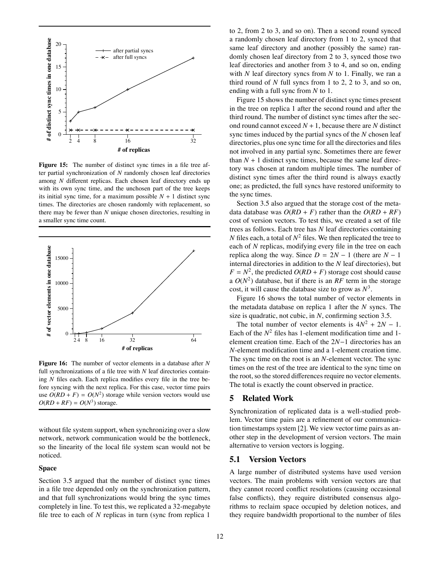

**Figure 15:** The number of distinct sync times in a file tree after partial synchronization of *N* randomly chosen leaf directories among *N* different replicas. Each chosen leaf directory ends up with its own sync time, and the unchosen part of the tree keeps its initial sync time, for a maximum possible  $N + 1$  distinct sync times. The directories are chosen randomly with replacement, so there may be fewer than *N* unique chosen directories, resulting in a smaller sync time count.



**Figure 16:** The number of vector elements in a database after *N* full synchronizations of a file tree with *N* leaf directories containing *N* files each. Each replica modifies every file in the tree before syncing with the next replica. For this case, vector time pairs use  $O(RD + F) = O(N^2)$  storage while version vectors would use  $O(RD + RF) = O(N^3)$  storage.

without file system support, when synchronizing over a slow network, network communication would be the bottleneck, so the linearity of the local file system scan would not be noticed.

#### **Space**

Section 3.5 argued that the number of distinct sync times in a file tree depended only on the synchronization pattern, and that full synchronizations would bring the sync times completely in line. To test this, we replicated a 32-megabyte file tree to each of *N* replicas in turn (sync from replica 1

to 2, from 2 to 3, and so on). Then a second round synced a randomly chosen leaf directory from 1 to 2, synced that same leaf directory and another (possibly the same) randomly chosen leaf directory from 2 to 3, synced those two leaf directories and another from 3 to 4, and so on, ending with *N* leaf directory syncs from *N* to 1. Finally, we ran a third round of *N* full syncs from 1 to 2, 2 to 3, and so on, ending with a full sync from *N* to 1.

Figure 15 shows the number of distinct sync times present in the tree on replica 1 after the second round and after the third round. The number of distinct sync times after the second round cannot exceed  $N + 1$ , because there are  $N$  distinct sync times induced by the partial syncs of the *N* chosen leaf directories, plus one sync time for all the directories and files not involved in any partial sync. Sometimes there are fewer than  $N + 1$  distinct sync times, because the same leaf directory was chosen at random multiple times. The number of distinct sync times after the third round is always exactly one; as predicted, the full syncs have restored uniformity to the sync times.

Section 3.5 also argued that the storage cost of the metadata database was  $O(RD + F)$  rather than the  $O(RD + RF)$ cost of version vectors. To test this, we created a set of file trees as follows. Each tree has *N* leaf directories containing *N* files each, a total of  $N^2$  files. We then replicated the tree to each of *N* replicas, modifying every file in the tree on each replica along the way. Since  $D = 2N - 1$  (there are  $N - 1$ ) internal directories in addition to the *N* leaf directories), but  $F = N^2$ , the predicted  $O(RD + F)$  storage cost should cause a  $O(N^2)$  database, but if there is an RF term in the storage cost, it will cause the database size to grow as  $N^3$ .

Figure 16 shows the total number of vector elements in the metadata database on replica 1 after the *N* syncs. The size is quadratic, not cubic, in *N*, confirming section 3.5.

The total number of vector elements is  $4N^2 + 2N - 1$ . Each of the  $N^2$  files has 1-element modification time and 1element creation time. Each of the 2*N*−1 directories has an *N*-element modification time and a 1-element creation time. The sync time on the root is an *N*-element vector. The sync times on the rest of the tree are identical to the sync time on the root, so the stored differences require no vector elements. The total is exactly the count observed in practice.

## **5 Related Work**

Synchronization of replicated data is a well-studied problem. Vector time pairs are a refinement of our communication timestamps system [2]. We view vector time pairs as another step in the development of version vectors. The main alternative to version vectors is logging.

## **5.1 Version Vectors**

A large number of distributed systems have used version vectors. The main problems with version vectors are that they cannot record conflict resolutions (causing occasional false conflicts), they require distributed consensus algorithms to reclaim space occupied by deletion notices, and they require bandwidth proportional to the number of files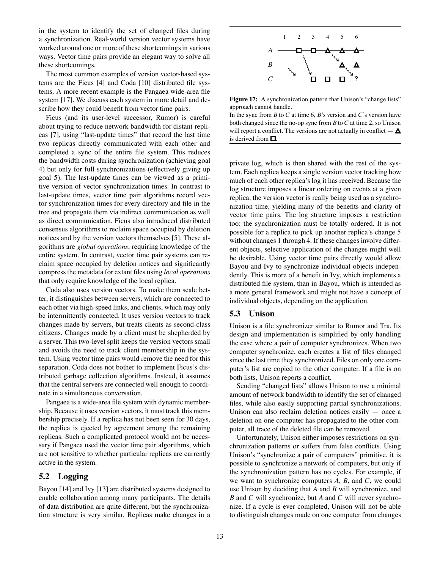in the system to identify the set of changed files during a synchronization. Real-world version vector systems have worked around one or more of these shortcomings in various ways. Vector time pairs provide an elegant way to solve all these shortcomings.

The most common examples of version vector-based systems are the Ficus [4] and Coda [10] distributed file systems. A more recent example is the Pangaea wide-area file system [17]. We discuss each system in more detail and describe how they could benefit from vector time pairs.

Ficus (and its user-level successor, Rumor) is careful about trying to reduce network bandwidth for distant replicas [7], using "last-update times" that record the last time two replicas directly communicated with each other and completed a sync of the entire file system. This reduces the bandwidth costs during synchronization (achieving goal 4) but only for full synchronizations (effectively giving up goal 5). The last-update times can be viewed as a primitive version of vector synchronization times. In contrast to last-update times, vector time pair algorithms record vector synchronization times for every directory and file in the tree and propagate them via indirect communication as well as direct communication. Ficus also introduced distributed consensus algorithms to reclaim space occupied by deletion notices and by the version vectors themselves [5]. These algorithms are *global operations*, requiring knowledge of the entire system. In contrast, vector time pair systems can reclaim space occupied by deletion notices and significantly compress the metadata for extant files using *local operations* that only require knowledge of the local replica.

Coda also uses version vectors. To make them scale better, it distinguishes between servers, which are connected to each other via high-speed links, and clients, which may only be intermittently connected. It uses version vectors to track changes made by servers, but treats clients as second-class citizens. Changes made by a client must be shepherded by a server. This two-level split keeps the version vectors small and avoids the need to track client membership in the system. Using vector time pairs would remove the need for this separation. Coda does not bother to implement Ficus's distributed garbage collection algorithms. Instead, it assumes that the central servers are connected well enough to coordinate in a simultaneous conversation.

Pangaea is a wide-area file system with dynamic membership. Because it uses version vectors, it must track this membership precisely. If a replica has not been seen for 30 days, the replica is ejected by agreement among the remaining replicas. Such a complicated protocol would not be necessary if Pangaea used the vector time pair algorithms, which are not sensitive to whether particular replicas are currently active in the system.

## **5.2 Logging**

Bayou [14] and Ivy [13] are distributed systems designed to enable collaboration among many participants. The details of data distribution are quite different, but the synchronization structure is very similar. Replicas make changes in a



**Figure 17:** A synchronization pattern that Unison's "change lists" approach cannot handle.

In the sync from *B* to *C* at time 6, *B*'s version and *C*'s version have both changed since the no-op sync from *B* to *C* at time 2, so Unison will report a conflict. The versions are not actually in conflict  $-\Delta$ is derived from  $\square$ .

private log, which is then shared with the rest of the system. Each replica keeps a single version vector tracking how much of each other replica's log it has received. Because the log structure imposes a linear ordering on events at a given replica, the version vector is really being used as a synchronization time, yielding many of the benefits and clarity of vector time pairs. The log structure imposes a restriction too: the synchronization must be totally ordered. It is not possible for a replica to pick up another replica's change 5 without changes 1 through 4. If these changes involve different objects, selective application of the changes might well be desirable. Using vector time pairs directly would allow Bayou and Ivy to synchronize individual objects independently. This is more of a benefit in Ivy, which implements a distributed file system, than in Bayou, which is intended as a more general framework and might not have a concept of individual objects, depending on the application.

## **5.3 Unison**

Unison is a file synchronizer similar to Rumor and Tra. Its design and implementation is simplified by only handling the case where a pair of computer synchronizes. When two computer synchronize, each creates a list of files changed since the last time they synchronized. Files on only one computer's list are copied to the other computer. If a file is on both lists, Unison reports a conflict.

Sending "changed lists" allows Unison to use a minimal amount of network bandwidth to identify the set of changed files, while also easily supporting partial synchronizations. Unison can also reclaim deletion notices easily  $-$  once a deletion on one computer has propagated to the other computer, all trace of the deleted file can be removed.

Unfortunately, Unison either imposes restrictions on synchronization patterns or suffers from false conflicts. Using Unison's "synchronize a pair of computers" primitive, it is possible to synchronize a network of computers, but only if the synchronization pattern has no cycles. For example, if we want to synchronize computers *A*, *B*, and *C*, we could use Unison by deciding that *A* and *B* will synchronize, and *B* and *C* will synchronize, but *A* and *C* will never synchronize. If a cycle is ever completed, Unison will not be able to distinguish changes made on one computer from changes